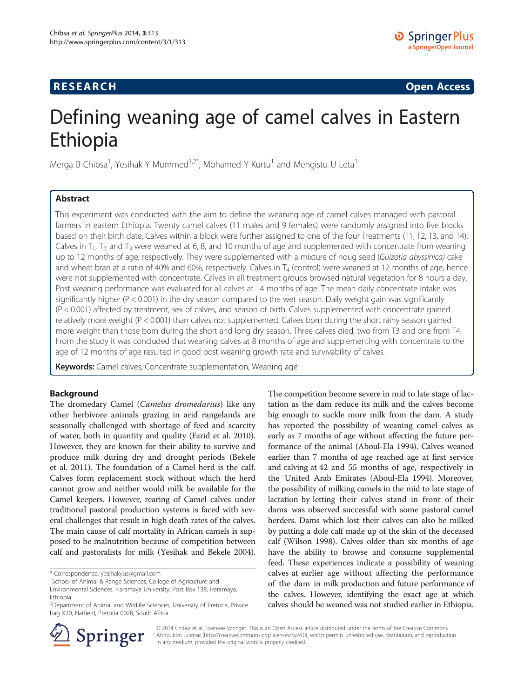## **RESEARCH RESEARCH CONSUMING ACCESS**

# Defining weaning age of camel calves in Eastern Ethiopia

Merga B Chibsa<sup>1</sup>, Yesihak Y Mummed<sup>1,2\*</sup>, Mohamed Y Kurtu<sup>1</sup> and Mengistu U Leta<sup>1</sup>

## Abstract

This experiment was conducted with the aim to define the weaning age of camel calves managed with pastoral farmers in eastern Ethiopia. Twenty camel calves (11 males and 9 females) were randomly assigned into five blocks based on their birth date. Calves within a block were further assigned to one of the four Treatments (T1, T2, T3, and T4). Calves in  $T_1$ ,  $T_2$  and  $T_3$  were weaned at 6, 8, and 10 months of age and supplemented with concentrate from weaning up to 12 months of age, respectively. They were supplemented with a mixture of noug seed (Guizotia abyssinica) cake and wheat bran at a ratio of 40% and 60%, respectively. Calves in  $T_4$  (control) were weaned at 12 months of age, hence were not supplemented with concentrate. Calves in all treatment groups browsed natural vegetation for 8 hours a day. Post weaning performance was evaluated for all calves at 14 months of age. The mean daily concentrate intake was significantly higher ( $P < 0.001$ ) in the dry season compared to the wet season. Daily weight gain was significantly (P < 0.001) affected by treatment, sex of calves, and season of birth. Calves supplemented with concentrate gained relatively more weight (P < 0.001) than calves not supplemented. Calves born during the short rainy season gained more weight than those born during the short and long dry season. Three calves died, two from T3 and one from T4. From the study it was concluded that weaning calves at 8 months of age and supplementing with concentrate to the age of 12 months of age resulted in good post weaning growth rate and survivability of calves.

Keywords: Camel calves; Concentrate supplementation; Weaning age

## Background

The dromedary Camel (Camelus dromedarius) like any other herbivore animals grazing in arid rangelands are seasonally challenged with shortage of feed and scarcity of water, both in quantity and quality (Farid et al. [2010](#page-4-0)). However, they are known for their ability to survive and produce milk during dry and drought periods (Bekele et al. [2011\)](#page-4-0). The foundation of a Camel herd is the calf. Calves form replacement stock without which the herd cannot grow and neither would milk be available for the Camel keepers. However, rearing of Camel calves under traditional pastoral production systems is faced with several challenges that result in high death rates of the calves. The main cause of calf mortality in African camels is supposed to be malnutrition because of competition between calf and pastoralists for milk (Yesihak and Bekele [2004](#page-4-0)).

<sup>&</sup>lt;sup>2</sup>Department of Animal and Wildlife Sciences, University of Pretoria, Private bag X20, Hatfield, Pretoria 0028, South Africa





© 2014 Chibsa et al.; licensee Springer. This is an Open Access article distributed under the terms of the Creative Commons Attribution License [\(http://creativecommons.org/licenses/by/4.0\)](http://creativecommons.org/licenses/by/4.0), which permits unrestricted use, distribution, and reproduction in any medium, provided the original work is properly credited.

<sup>\*</sup> Correspondence: [yesihakyus@gmail.com](mailto:yesihakyus@gmail.com) <sup>1</sup>

<sup>&</sup>lt;sup>1</sup> School of Animal & Range Sciences, College of Agriculture and

Environmental Sciences, Haramaya University, Post Box 138, Haramaya, Ethiopia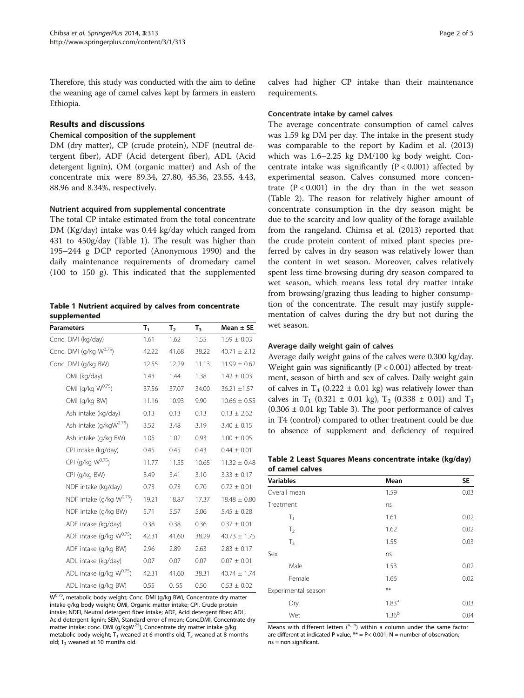Therefore, this study was conducted with the aim to define the weaning age of camel calves kept by farmers in eastern Ethiopia.

## Results and discussions

#### Chemical composition of the supplement

DM (dry matter), CP (crude protein), NDF (neutral detergent fiber), ADF (Acid detergent fiber), ADL (Acid detergent lignin), OM (organic matter) and Ash of the concentrate mix were 89.34, 27.80, 45.36, 23.55, 4.43, 88.96 and 8.34%, respectively.

## Nutrient acquired from supplemental concentrate

The total CP intake estimated from the total concentrate DM (Kg/day) intake was 0.44 kg/day which ranged from 431 to 450g/day (Table 1). The result was higher than 195–244 g DCP reported (Anonymous [1990](#page-4-0)) and the daily maintenance requirements of dromedary camel (100 to 150 g). This indicated that the supplemented

## Table 1 Nutrient acquired by calves from concentrate supplemented

| <b>Parameters</b>                    | т,    | T <sub>2</sub> | $T_3$ | Mean $\pm$ SE    |
|--------------------------------------|-------|----------------|-------|------------------|
| Conc. DMI (kg/day)                   | 1.61  | 1.62           | 1.55  | $1.59 \pm 0.03$  |
| Conc. DMI (g/kg W <sup>0.75</sup> )  | 42.22 | 41.68          | 38.22 | $40.71 \pm 2.12$ |
| Conc. DMI (g/kg BW)                  | 12.55 | 12.29          | 11.13 | $11.99 \pm 0.62$ |
| OMI (kg/day)                         | 1.43  | 1.44           | 1.38  | $1.42 \pm 0.03$  |
| OMI (g/kg W <sup>0.75</sup> )        | 37.56 | 37.07          | 34.00 | $36.21 \pm 1.57$ |
| OMI (g/kg BW)                        | 11.16 | 10.93          | 9.90  | $10.66 \pm 0.55$ |
| Ash intake (kg/day)                  | 0.13  | 0.13           | 0.13  | $0.13 \pm 2.62$  |
| Ash intake (g/kgW <sup>0.75</sup> )  | 3.52  | 3.48           | 3.19  | $3.40 \pm 0.15$  |
| Ash intake (g/kg BW)                 | 1.05  | 1.02           | 0.93  | $1.00 \pm 0.05$  |
| CPI intake (kg/day)                  | 0.45  | 0.45           | 0.43  | $0.44 \pm 0.01$  |
| CPI (g/kg W <sup>0.75</sup> )        | 11.77 | 11.55          | 10.65 | $11.32 \pm 0.48$ |
| CPI (g/kg BW)                        | 3.49  | 3.41           | 3.10  | $3.33 \pm 0.17$  |
| NDF intake (kg/day)                  | 0.73  | 0.73           | 0.70  | $0.72 \pm 0.01$  |
| NDF intake (g/kg W <sup>0.75</sup> ) | 19.21 | 18.87          | 17.37 | $18.48 \pm 0.80$ |
| NDF intake (g/kg BW)                 | 5.71  | 5.57           | 5.06  | $5.45 \pm 0.28$  |
| ADF intake (kg/day)                  | 0.38  | 0.38           | 0.36  | $0.37 \pm 0.01$  |
| ADF intake (g/kg W <sup>0.75</sup> ) | 42.31 | 41.60          | 38.29 | $40.73 \pm 1.75$ |
| ADF intake (g/kg BW)                 | 2.96  | 2.89           | 2.63  | $2.83 \pm 0.17$  |
| ADL intake (kg/day)                  | 0.07  | 0.07           | 0.07  | $0.07 \pm 0.01$  |
| ADL intake (g/kg W <sup>0.75</sup> ) | 42.31 | 41.60          | 38.31 | $40.74 \pm 1.74$ |
| ADL intake (g/kg BW)                 | 0.55  | 0.55           | 0.50  | $0.53 \pm 0.02$  |

 $W^{0.75}$ , metabolic body weight; Conc. DMI (g/kg BW), Concentrate dry matter intake g/kg body weight; OMI, Organic matter intake; CPI, Crude protein intake; NDFI, Neutral detergent fiber intake; ADF, Acid detergent fiber; ADL, Acid detergent lignin; SEM, Standard error of mean; Conc.DMI, Concentrate dry matter intake; conc. DMI (g/kgW<sup>.75</sup>), Concentrate dry matter intake g/kg metabolic body weight;  $T_1$  weaned at 6 months old;  $T_2$  weaned at 8 months old;  $T_3$  weaned at 10 months old.

calves had higher CP intake than their maintenance requirements.

## Concentrate intake by camel calves

The average concentrate consumption of camel calves was 1.59 kg DM per day. The intake in the present study was comparable to the report by Kadim et al. ([2013](#page-4-0)) which was 1.6–2.25 kg DM/100 kg body weight. Concentrate intake was significantly  $(P < 0.001)$  affected by experimental season. Calves consumed more concentrate  $(P < 0.001)$  in the dry than in the wet season (Table 2). The reason for relatively higher amount of concentrate consumption in the dry season might be due to the scarcity and low quality of the forage available from the rangeland. Chimsa et al. [\(2013\)](#page-4-0) reported that the crude protein content of mixed plant species preferred by calves in dry season was relatively lower than the content in wet season. Moreover, calves relatively spent less time browsing during dry season compared to wet season, which means less total dry matter intake from browsing/grazing thus leading to higher consumption of the concentrate. The result may justify supplementation of calves during the dry but not during the wet season.

## Average daily weight gain of calves

Average daily weight gains of the calves were 0.300 kg/day. Weight gain was significantly  $(P < 0.001)$  affected by treatment, season of birth and sex of calves. Daily weight gain of calves in  $T_4$  (0.222  $\pm$  0.01 kg) was relatively lower than calves in T<sub>1</sub> (0.321  $\pm$  0.01 kg), T<sub>2</sub> (0.338  $\pm$  0.01) and T<sub>3</sub>  $(0.306 \pm 0.01 \text{ kg}$ ; Table [3](#page-2-0)). The poor performance of calves in T4 (control) compared to other treatment could be due to absence of supplement and deficiency of required

Table 2 Least Squares Means concentrate intake (kg/day) of camel calves

| <b>Variables</b>    | Mean              | <b>SE</b> |
|---------------------|-------------------|-----------|
| Overall mean        | 1.59              | 0.03      |
| Treatment           | ns                |           |
| $T_{1}$             | 1.61              | 0.02      |
| T <sub>2</sub>      | 1.62              | 0.02      |
| $T_3$               | 1.55              | 0.03      |
| Sex                 | ns                |           |
| Male                | 1.53              | 0.02      |
| Female              | 1.66              | 0.02      |
| Experimental season | **                |           |
| Dry                 | 1.83 <sup>a</sup> | 0.03      |
| Wet                 | $1.36^{b}$        | 0.04      |

Means with different letters  $($ <sup>a, b</sup>) within a column under the same factor are different at indicated P value,  $** = P < 0.001$ ; N = number of observation; ns = non significant.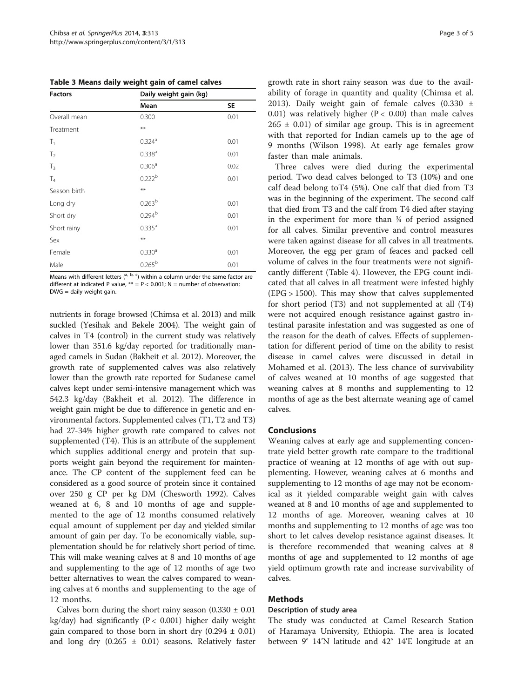<span id="page-2-0"></span>Table 3 Means daily weight gain of camel calves

| <b>Factors</b> | Daily weight gain (kg) |           |  |
|----------------|------------------------|-----------|--|
|                | Mean                   | <b>SE</b> |  |
| Overall mean   | 0.300                  | 0.01      |  |
| Treatment      | **                     |           |  |
| $T_1$          | 0.324 <sup>a</sup>     | 0.01      |  |
| T <sub>2</sub> | 0.338 <sup>a</sup>     | 0.01      |  |
| $T_3$          | 0.306 <sup>a</sup>     | 0.02      |  |
| $T_4$          | 0.222 <sup>b</sup>     | 0.01      |  |
| Season birth   | **                     |           |  |
| Long dry       | 0.263 <sup>b</sup>     | 0.01      |  |
| Short dry      | $0.294^{b}$            | 0.01      |  |
| Short rainy    | $0.335^{\text{a}}$     | 0.01      |  |
| Sex            | **                     |           |  |
| Female         | 0.330 <sup>a</sup>     | 0.01      |  |
| Male           | $0.265^{\rm b}$        | 0.01      |  |

Means with different letters ( $a$ ,  $b$ ,  $c$ ) within a column under the same factor are different at indicated P value,  $** = P < 0.001$ ; N = number of observation; DWG = daily weight gain.

nutrients in forage browsed (Chimsa et al. [2013\)](#page-4-0) and milk suckled (Yesihak and Bekele [2004](#page-4-0)). The weight gain of calves in T4 (control) in the current study was relatively lower than 351.6 kg/day reported for traditionally managed camels in Sudan (Bakheit et al. [2012\)](#page-4-0). Moreover, the growth rate of supplemented calves was also relatively lower than the growth rate reported for Sudanese camel calves kept under semi-intensive management which was 542.3 kg/day (Bakheit et al. [2012\)](#page-4-0). The difference in weight gain might be due to difference in genetic and environmental factors. Supplemented calves (T1, T2 and T3) had 27-34% higher growth rate compared to calves not supplemented (T4). This is an attribute of the supplement which supplies additional energy and protein that supports weight gain beyond the requirement for maintenance. The CP content of the supplement feed can be considered as a good source of protein since it contained over 250 g CP per kg DM (Chesworth [1992\)](#page-4-0). Calves weaned at 6, 8 and 10 months of age and supplemented to the age of 12 months consumed relatively equal amount of supplement per day and yielded similar amount of gain per day. To be economically viable, supplementation should be for relatively short period of time. This will make weaning calves at 8 and 10 months of age and supplementing to the age of 12 months of age two better alternatives to wean the calves compared to weaning calves at 6 months and supplementing to the age of 12 months.

Calves born during the short rainy season  $(0.330 \pm 0.01)$ kg/day) had significantly ( $P < 0.001$ ) higher daily weight gain compared to those born in short dry  $(0.294 \pm 0.01)$ and long dry  $(0.265 \pm 0.01)$  seasons. Relatively faster

growth rate in short rainy season was due to the availability of forage in quantity and quality (Chimsa et al. [2013\)](#page-4-0). Daily weight gain of female calves  $(0.330 \pm 1)$ 0.01) was relatively higher ( $P < 0.00$ ) than male calves  $265 \pm 0.01$ ) of similar age group. This is in agreement with that reported for Indian camels up to the age of 9 months (Wilson [1998](#page-4-0)). At early age females grow faster than male animals.

Three calves were died during the experimental period. Two dead calves belonged to T3 (10%) and one calf dead belong toT4 (5%). One calf that died from T3 was in the beginning of the experiment. The second calf that died from T3 and the calf from T4 died after staying in the experiment for more than ¾ of period assigned for all calves. Similar preventive and control measures were taken against disease for all calves in all treatments. Moreover, the egg per gram of feaces and packed cell volume of calves in the four treatments were not significantly different (Table [4](#page-3-0)). However, the EPG count indicated that all calves in all treatment were infested highly (EPG > 1500). This may show that calves supplemented for short period (T3) and not supplemented at all (T4) were not acquired enough resistance against gastro intestinal parasite infestation and was suggested as one of the reason for the death of calves. Effects of supplementation for different period of time on the ability to resist disease in camel calves were discussed in detail in Mohamed et al. ([2013\)](#page-4-0). The less chance of survivability of calves weaned at 10 months of age suggested that weaning calves at 8 months and supplementing to 12 months of age as the best alternate weaning age of camel calves.

## **Conclusions**

Weaning calves at early age and supplementing concentrate yield better growth rate compare to the traditional practice of weaning at 12 months of age with out supplementing. However, weaning calves at 6 months and supplementing to 12 months of age may not be economical as it yielded comparable weight gain with calves weaned at 8 and 10 months of age and supplemented to 12 months of age. Moreover, weaning calves at 10 months and supplementing to 12 months of age was too short to let calves develop resistance against diseases. It is therefore recommended that weaning calves at 8 months of age and supplemented to 12 months of age yield optimum growth rate and increase survivability of calves.

## Methods

#### Description of study area

The study was conducted at Camel Research Station of Haramaya University, Ethiopia. The area is located between 9° 14'N latitude and 42° 14'E longitude at an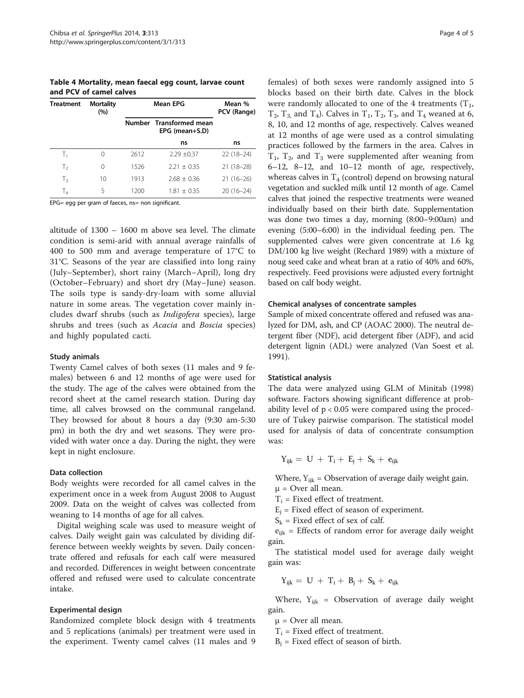<span id="page-3-0"></span>Table 4 Mortality, mean faecal egg count, larvae count and PCV of camel calves

| <b>Treatment</b> | <b>Mortality</b><br>(%) | Mean EPG |                                           | Mean %<br>PCV (Range) |
|------------------|-------------------------|----------|-------------------------------------------|-----------------------|
|                  |                         |          | Number Transformed mean<br>EPG (mean+S.D) |                       |
|                  |                         |          | ns                                        | ns                    |
| т,               | 0                       | 2612     | $2.29 + 0.37$                             | $22(18-24)$           |
| T <sub>2</sub>   | 0                       | 1526     | $2.21 + 0.35$                             | $21(18-28)$           |
| $T_3$            | 10                      | 1913     | $2.68 + 0.36$                             | $21(16-26)$           |
| $T_4$            | 5                       | 1200     | $1.81 + 0.35$                             | $20(16-24)$           |

EPG= egg per gram of faeces, ns= non significant.

altitude of 1300 – 1600 m above sea level. The climate condition is semi-arid with annual average rainfalls of 400 to 500 mm and average temperature of 17°C to 31°C. Seasons of the year are classified into long rainy (July–September), short rainy (March–April), long dry (October–February) and short dry (May–June) season. The soils type is sandy-dry-loam with some alluvial nature in some areas. The vegetation cover mainly includes dwarf shrubs (such as Indigofera species), large shrubs and trees (such as Acacia and Boscia species) and highly populated cacti.

#### Study animals

Twenty Camel calves of both sexes (11 males and 9 females) between 6 and 12 months of age were used for the study. The age of the calves were obtained from the record sheet at the camel research station. During day time, all calves browsed on the communal rangeland. They browsed for about 8 hours a day (9:30 am-5:30 pm) in both the dry and wet seasons. They were provided with water once a day. During the night, they were kept in night enclosure.

#### Data collection

Body weights were recorded for all camel calves in the experiment once in a week from August 2008 to August 2009. Data on the weight of calves was collected from weaning to 14 months of age for all calves.

Digital weighing scale was used to measure weight of calves. Daily weight gain was calculated by dividing difference between weekly weights by seven. Daily concentrate offered and refusals for each calf were measured and recorded. Differences in weight between concentrate offered and refused were used to calculate concentrate intake.

## Experimental design

Randomized complete block design with 4 treatments and 5 replications (animals) per treatment were used in the experiment. Twenty camel calves (11 males and 9 females) of both sexes were randomly assigned into 5 blocks based on their birth date. Calves in the block were randomly allocated to one of the 4 treatments  $(T_1,$  $T_2$ ,  $T_3$ , and  $T_4$ ). Calves in  $T_1$ ,  $T_2$ ,  $T_3$ , and  $T_4$  weaned at 6, 8, 10, and 12 months of age, respectively. Calves weaned at 12 months of age were used as a control simulating practices followed by the farmers in the area. Calves in  $T_1$ ,  $T_2$ , and  $T_3$  were supplemented after weaning from 6–12, 8–12, and 10–12 month of age, respectively, whereas calves in  $T_4$  (control) depend on browsing natural vegetation and suckled milk until 12 month of age. Camel calves that joined the respective treatments were weaned individually based on their birth date. Supplementation was done two times a day, morning (8:00–9:00am) and evening (5:00–6:00) in the individual feeding pen. The supplemented calves were given concentrate at 1.6 kg DM/100 kg live weight (Rechard [1989\)](#page-4-0) with a mixture of noug seed cake and wheat bran at a ratio of 40% and 60%, respectively. Feed provisions were adjusted every fortnight based on calf body weight.

#### Chemical analyses of concentrate samples

Sample of mixed concentrate offered and refused was analyzed for DM, ash, and CP (AOAC [2000](#page-4-0)). The neutral detergent fiber (NDF), acid detergent fiber (ADF), and acid detergent lignin (ADL) were analyzed (Van Soest et al. [1991](#page-4-0)).

#### Statistical analysis

The data were analyzed using GLM of Minitab ([1998](#page-4-0)) software. Factors showing significant difference at probability level of p < 0.05 were compared using the procedure of Tukey pairwise comparison. The statistical model used for analysis of data of concentrate consumption was:

$$
Y_{ijk} = \ U \ + \ T_i + \ E_j + \ S_k + \ e_{ijk}
$$

Where,  $Y_{ijk}$  = Observation of average daily weight gain.  $\mu$  = Over all mean.

- $T_i$  = Fixed effect of treatment.
- $E_j$  = Fixed effect of season of experiment.
- $S_k$  = Fixed effect of sex of calf.

 $e_{ijk}$  = Effects of random error for average daily weight gain.

The statistical model used for average daily weight gain was:

$$
Y_{ijk} = \ U \ + \ T_i + \ B_j + \ S_k + \ e_{ijk}
$$

Where,  $Y_{ijk}$  = Observation of average daily weight gain.

 $\mu$  = Over all mean.

- $T_i$  = Fixed effect of treatment.
- $B_i$  = Fixed effect of season of birth.